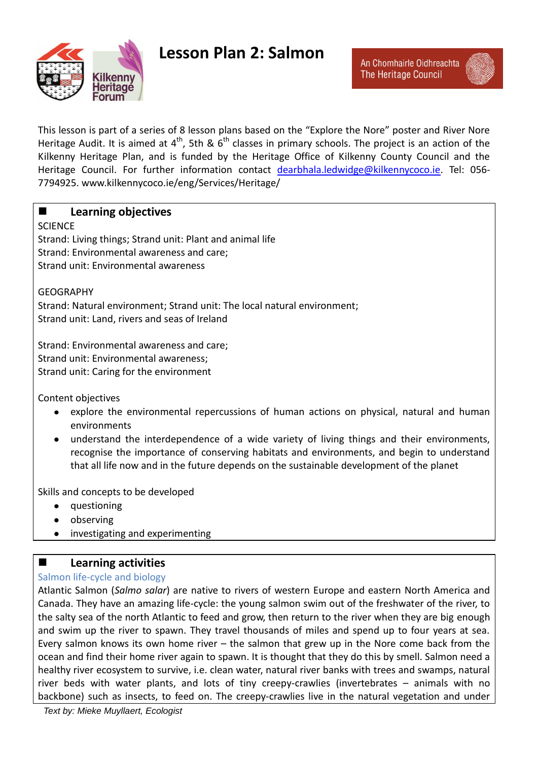

# **Lesson Plan 2: Salmon**

This lesson is part of a series of 8 lesson plans based on the "Explore the Nore" poster and River Nore Heritage Audit. It is aimed at  $4^{th}$ , 5th &  $6^{th}$  classes in primary schools. The project is an action of the Kilkenny Heritage Plan, and is funded by the Heritage Office of Kilkenny County Council and the Heritage Council. For further information contact [dearbhala.ledwidge@kilkennycoco.ie.](mailto:dearbhala.ledwidge@kilkennycoco.ie) Tel: 056- 7794925. www.kilkennycoco.ie/eng/Services/Heritage/

## **Learning objectives**

## **SCIENCE**

Strand: Living things; Strand unit: Plant and animal life Strand: Environmental awareness and care; Strand unit: Environmental awareness

**GFOGRAPHY** Strand: Natural environment; Strand unit: The local natural environment; Strand unit: Land, rivers and seas of Ireland

Strand: Environmental awareness and care; Strand unit: Environmental awareness; Strand unit: Caring for the environment

Content objectives

- explore the environmental repercussions of human actions on physical, natural and human environments
- understand the interdependence of a wide variety of living things and their environments, recognise the importance of conserving habitats and environments, and begin to understand that all life now and in the future depends on the sustainable development of the planet

Skills and concepts to be developed

- questioning
- observing
- investigating and experimenting  $\bullet$

## **Learning activities**

## Salmon life-cycle and biology

Atlantic Salmon (*Salmo salar*) are native to rivers of western Europe and eastern North America and Canada. They have an amazing life-cycle: the young salmon swim out of the freshwater of the river, to the salty sea of the north Atlantic to feed and grow, then return to the river when they are big enough and swim up the river to spawn. They travel thousands of miles and spend up to four years at sea. Every salmon knows its own home river – the salmon that grew up in the Nore come back from the ocean and find their home river again to spawn. It is thought that they do this by smell. Salmon need a healthy river ecosystem to survive, i.e. clean water, natural river banks with trees and swamps, natural river beds with water plants, and lots of tiny creepy-crawlies (invertebrates – animals with no backbone) such as insects, to feed on. The creepy-crawlies live in the natural vegetation and under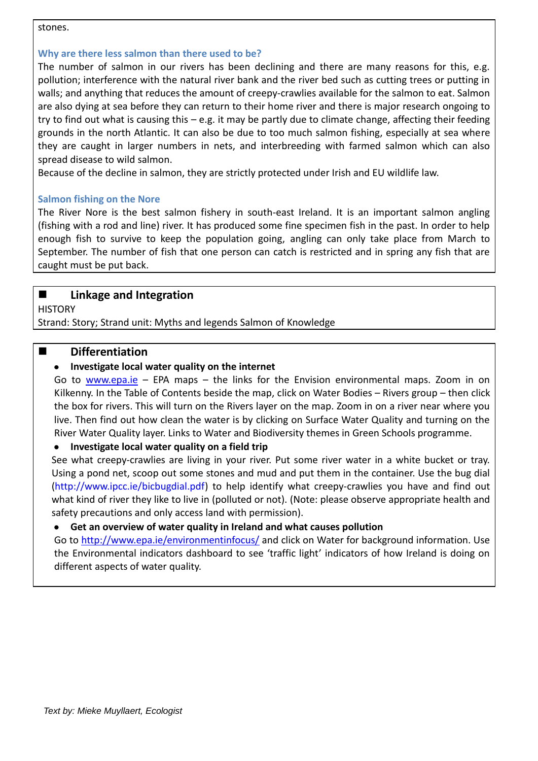#### stones.

## **Why are there less salmon than there used to be?**

The number of salmon in our rivers has been declining and there are many reasons for this, e.g. pollution; interference with the natural river bank and the river bed such as cutting trees or putting in walls; and anything that reduces the amount of creepy-crawlies available for the salmon to eat. Salmon are also dying at sea before they can return to their home river and there is major research ongoing to try to find out what is causing this – e.g. it may be partly due to climate change, affecting their feeding grounds in the north Atlantic. It can also be due to too much salmon fishing, especially at sea where they are caught in larger numbers in nets, and interbreeding with farmed salmon which can also spread disease to wild salmon.

Because of the decline in salmon, they are strictly protected under Irish and EU wildlife law.

## **Salmon fishing on the Nore**

The River Nore is the best salmon fishery in south-east Ireland. It is an important salmon angling (fishing with a rod and line) river. It has produced some fine specimen fish in the past. In order to help enough fish to survive to keep the population going, angling can only take place from March to September. The number of fish that one person can catch is restricted and in spring any fish that are caught must be put back.

## **Linkage and Integration**

**HISTORY** 

Strand: Story; Strand unit: Myths and legends Salmon of Knowledge

## $\blacksquare$  Differentiation

## **Investigate local water quality on the internet**

Go to [www.epa.ie](http://www.epa.ie/) – EPA maps – the links for the Envision environmental maps. Zoom in on Kilkenny. In the Table of Contents beside the map, click on Water Bodies – Rivers group – then click the box for rivers. This will turn on the Rivers layer on the map. Zoom in on a river near where you live. Then find out how clean the water is by clicking on Surface Water Quality and turning on the River Water Quality layer. Links to Water and Biodiversity themes in Green Schools programme.

#### **Investigate local water quality on a field trip**

See what creepy-crawlies are living in your river. Put some river water in a white bucket or tray. Using a pond net, scoop out some stones and mud and put them in the container. Use the bug dial [\(http://www.ipcc.ie/bicbugdial.pdf\)](http://www.ipcc.ie/bicbugdial.pdf) to help identify what creepy-crawlies you have and find out what kind of river they like to live in (polluted or not). (Note: please observe appropriate health and safety precautions and only access land with permission).

#### **Get an overview of water quality in Ireland and what causes pollution**

Go to<http://www.epa.ie/environmentinfocus/> and click on Water for background information. Use the Environmental indicators dashboard to see 'traffic light' indicators of how Ireland is doing on different aspects of water quality.